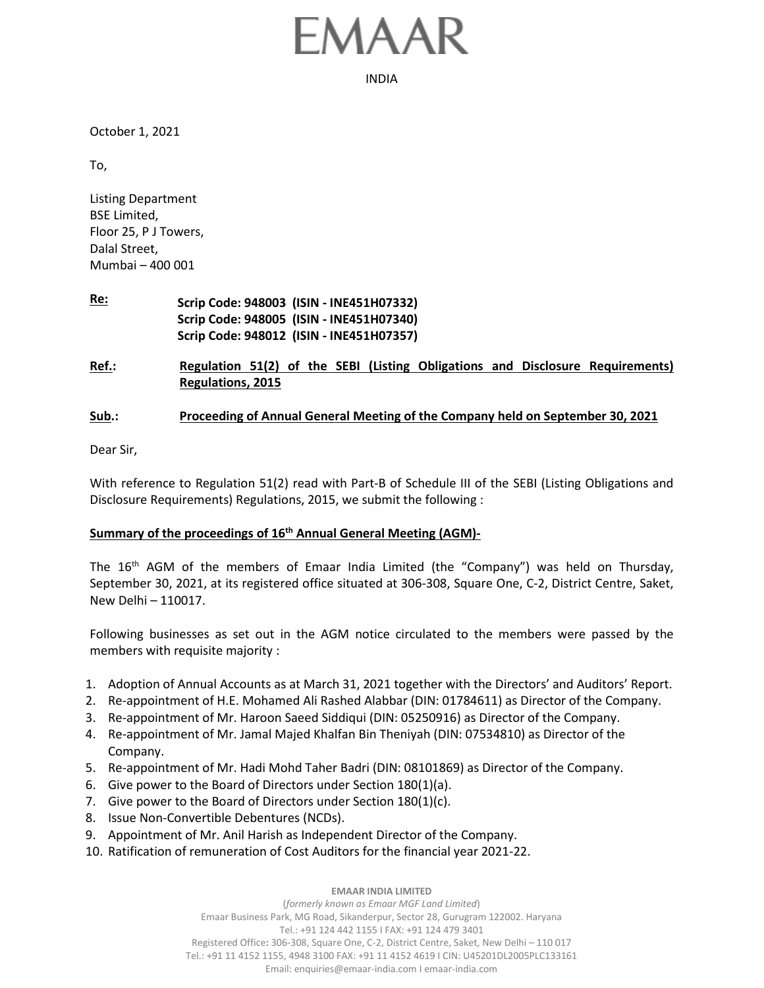## MAA

INDIA

October 1, 2021

To,

Listing Department BSE Limited, Floor 25, P J Towers, Dalal Street, Mumbai – 400 001

- **Re: Scrip Code: 948003 (ISIN - INE451H07332) Scrip Code: 948005 (ISIN - INE451H07340) Scrip Code: 948012 (ISIN - INE451H07357)**
- **Ref.: Regulation 51(2) of the SEBI (Listing Obligations and Disclosure Requirements) Regulations, 2015**

## **Sub.: Proceeding of Annual General Meeting of the Company held on September 30, 2021**

Dear Sir,

With reference to Regulation 51(2) read with Part-B of Schedule III of the SEBI (Listing Obligations and Disclosure Requirements) Regulations, 2015, we submit the following :

## **Summary of the proceedings of 16th Annual General Meeting (AGM)-**

The 16<sup>th</sup> AGM of the members of Emaar India Limited (the "Company") was held on Thursday, September 30, 2021, at its registered office situated at 306-308, Square One, C-2, District Centre, Saket, New Delhi – 110017.

Following businesses as set out in the AGM notice circulated to the members were passed by the members with requisite majority :

- 1. Adoption of Annual Accounts as at March 31, 2021 together with the Directors' and Auditors' Report.
- 2. Re-appointment of H.E. Mohamed Ali Rashed Alabbar (DIN: 01784611) as Director of the Company.
- 3. Re-appointment of Mr. Haroon Saeed Siddiqui (DIN: 05250916) as Director of the Company.
- 4. Re-appointment of Mr. Jamal Majed Khalfan Bin Theniyah (DIN: 07534810) as Director of the Company.
- 5. Re-appointment of Mr. Hadi Mohd Taher Badri (DIN: 08101869) as Director of the Company.
- 6. Give power to the Board of Directors under Section 180(1)(a).
- 7. Give power to the Board of Directors under Section 180(1)(c).
- 8. Issue Non-Convertible Debentures (NCDs).
- 9. Appointment of Mr. Anil Harish as Independent Director of the Company.
- 10. Ratification of remuneration of Cost Auditors for the financial year 2021-22.

## **EMAAR INDIA LIMITED**

(*formerly known as Emaar MGF Land Limited*) Emaar Business Park, MG Road, Sikanderpur, Sector 28, Gurugram 122002. Haryana Tel.: +91 124 442 1155 I FAX: +91 124 479 3401 Registered Office**:** 306-308, Square One, C-2, District Centre, Saket, New Delhi – 110 017 Tel.: +91 11 4152 1155, 4948 3100 FAX: +91 11 4152 4619 I CIN: U45201DL2005PLC133161 Email: enquiries@emaar-india.com I emaar-india.com